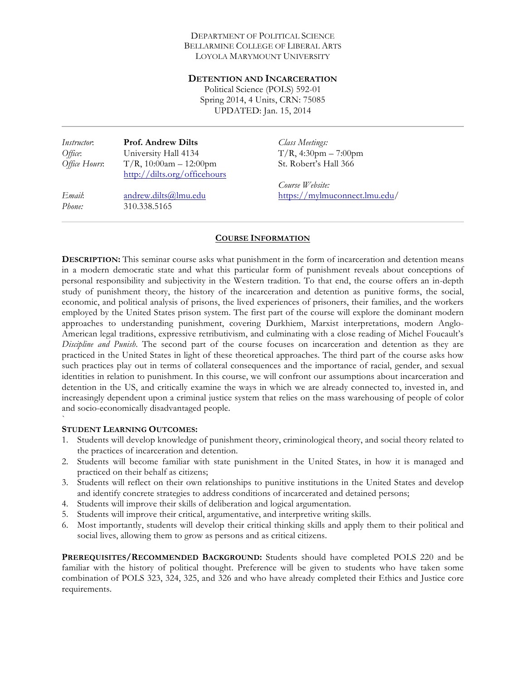#### DEPARTMENT OF POLITICAL SCIENCE BELLARMINE COLLEGE OF LIBERAL ARTS LOYOLA MARYMOUNT UNIVERSITY

#### **DETENTION AND INCARCERATION**

Political Science (POLS) 592-01 Spring 2014, 4 Units, CRN: 75085 UPDATED: Jan. 15, 2014

*Instructor*: **Prof. Andrew Dilts** *Office*: University Hall 4134 *Office Hours*: T/R, 10:00am – 12:00pm http://dilts.org/officehours

*Email*: andrew.dilts@lmu.edu *Phone:* 310.338.5165

*Class Meetings:*   $T/R$ , 4:30pm – 7:00pm St. Robert's Hall 366

*Course Website:*  https://mylmuconnect.lmu.edu/

## **COURSE INFORMATION**

**DESCRIPTION:** This seminar course asks what punishment in the form of incarceration and detention means in a modern democratic state and what this particular form of punishment reveals about conceptions of personal responsibility and subjectivity in the Western tradition. To that end, the course offers an in-depth study of punishment theory, the history of the incarceration and detention as punitive forms, the social, economic, and political analysis of prisons, the lived experiences of prisoners, their families, and the workers employed by the United States prison system. The first part of the course will explore the dominant modern approaches to understanding punishment, covering Durkhiem, Marxist interpretations, modern Anglo-American legal traditions, expressive retributivism, and culminating with a close reading of Michel Foucault's *Discipline and Punish*. The second part of the course focuses on incarceration and detention as they are practiced in the United States in light of these theoretical approaches. The third part of the course asks how such practices play out in terms of collateral consequences and the importance of racial, gender, and sexual identities in relation to punishment. In this course, we will confront our assumptions about incarceration and detention in the US, and critically examine the ways in which we are already connected to, invested in, and increasingly dependent upon a criminal justice system that relies on the mass warehousing of people of color and socio-economically disadvantaged people.

#### **STUDENT LEARNING OUTCOMES:**

`

- 1. Students will develop knowledge of punishment theory, criminological theory, and social theory related to the practices of incarceration and detention.
- 2. Students will become familiar with state punishment in the United States, in how it is managed and practiced on their behalf as citizens;
- 3. Students will reflect on their own relationships to punitive institutions in the United States and develop and identify concrete strategies to address conditions of incarcerated and detained persons;
- 4. Students will improve their skills of deliberation and logical argumentation.
- 5. Students will improve their critical, argumentative, and interpretive writing skills.
- 6. Most importantly, students will develop their critical thinking skills and apply them to their political and social lives, allowing them to grow as persons and as critical citizens.

**PREREQUISITES/RECOMMENDED BACKGROUND:** Students should have completed POLS 220 and be familiar with the history of political thought. Preference will be given to students who have taken some combination of POLS 323, 324, 325, and 326 and who have already completed their Ethics and Justice core requirements.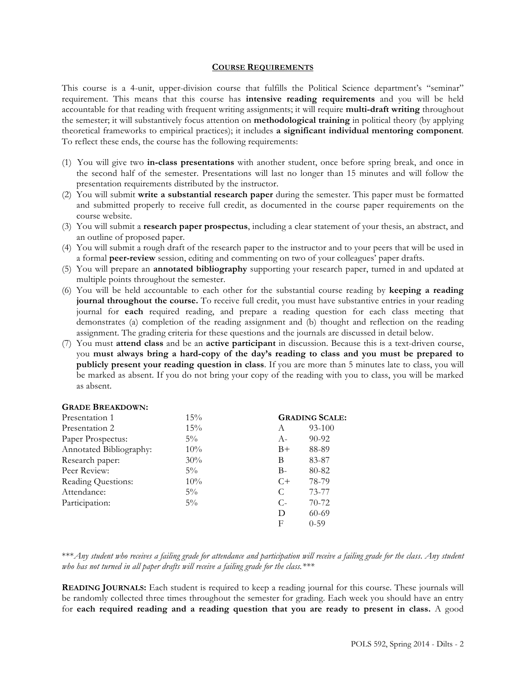#### **COURSE REQUIREMENTS**

This course is a 4-unit, upper-division course that fulfills the Political Science department's "seminar" requirement. This means that this course has **intensive reading requirements** and you will be held accountable for that reading with frequent writing assignments; it will require **multi-draft writing** throughout the semester; it will substantively focus attention on **methodological training** in political theory (by applying theoretical frameworks to empirical practices); it includes **a significant individual mentoring component***.*  To reflect these ends, the course has the following requirements:

- (1) You will give two **in-class presentations** with another student, once before spring break, and once in the second half of the semester. Presentations will last no longer than 15 minutes and will follow the presentation requirements distributed by the instructor.
- (2) You will submit **write a substantial research paper** during the semester. This paper must be formatted and submitted properly to receive full credit, as documented in the course paper requirements on the course website.
- (3) You will submit a **research paper prospectus**, including a clear statement of your thesis, an abstract, and an outline of proposed paper.
- (4) You will submit a rough draft of the research paper to the instructor and to your peers that will be used in a formal **peer-review** session, editing and commenting on two of your colleagues' paper drafts.
- (5) You will prepare an **annotated bibliography** supporting your research paper, turned in and updated at multiple points throughout the semester.
- (6) You will be held accountable to each other for the substantial course reading by **keeping a reading journal throughout the course.** To receive full credit, you must have substantive entries in your reading journal for **each** required reading, and prepare a reading question for each class meeting that demonstrates (a) completion of the reading assignment and (b) thought and reflection on the reading assignment. The grading criteria for these questions and the journals are discussed in detail below.
- (7) You must **attend class** and be an **active participant** in discussion. Because this is a text-driven course, you **must always bring a hard-copy of the day's reading to class and you must be prepared to publicly present your reading question in class**. If you are more than 5 minutes late to class, you will be marked as absent. If you do not bring your copy of the reading with you to class, you will be marked as absent.

#### **GRADE BREAKDOWN:**

| Presentation 1          | 15%    | <b>GRADING SCALE:</b> |            |
|-------------------------|--------|-----------------------|------------|
| Presentation 2          | 15%    | A                     | $93 - 100$ |
| Paper Prospectus:       | $5\%$  | $A-$                  | $90 - 92$  |
| Annotated Bibliography: | $10\%$ | $B+$                  | 88-89      |
| Research paper:         | 30%    | B                     | 83-87      |
| Peer Review:            | $5\%$  | $B -$                 | 80-82      |
| Reading Questions:      | $10\%$ | $C+$                  | 78-79      |
| Attendance:             | $5\%$  | C                     | 73-77      |
| Participation:          | $5\%$  | $C$ -                 | $70-72$    |
|                         |        | D                     | $60 - 69$  |
|                         |        | F                     | $0 - 59$   |

\*\*\**Any student who receives a failing grade for attendance and participation will receive a failing grade for the class*. *Any student who has not turned in all paper drafts will receive a failing grade for the class.\*\*\**

**READING JOURNALS:** Each student is required to keep a reading journal for this course. These journals will be randomly collected three times throughout the semester for grading. Each week you should have an entry for **each required reading and a reading question that you are ready to present in class.** A good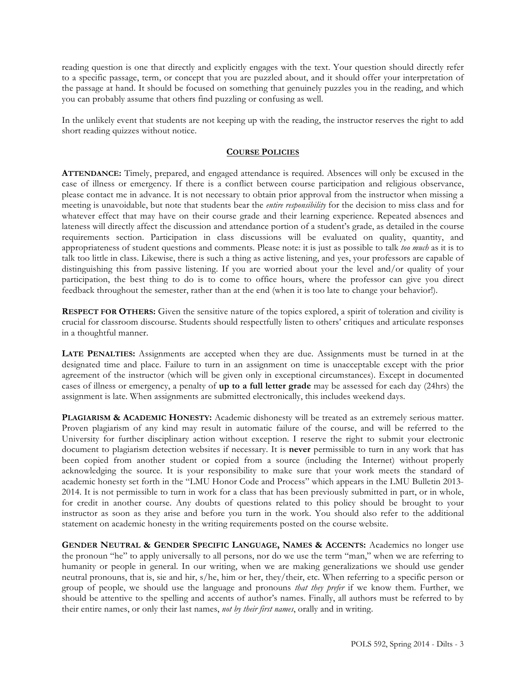reading question is one that directly and explicitly engages with the text. Your question should directly refer to a specific passage, term, or concept that you are puzzled about, and it should offer your interpretation of the passage at hand. It should be focused on something that genuinely puzzles you in the reading, and which you can probably assume that others find puzzling or confusing as well.

In the unlikely event that students are not keeping up with the reading, the instructor reserves the right to add short reading quizzes without notice.

#### **COURSE POLICIES**

**ATTENDANCE:** Timely, prepared, and engaged attendance is required. Absences will only be excused in the case of illness or emergency. If there is a conflict between course participation and religious observance, please contact me in advance. It is not necessary to obtain prior approval from the instructor when missing a meeting is unavoidable, but note that students bear the *entire responsibility* for the decision to miss class and for whatever effect that may have on their course grade and their learning experience. Repeated absences and lateness will directly affect the discussion and attendance portion of a student's grade, as detailed in the course requirements section. Participation in class discussions will be evaluated on quality, quantity, and appropriateness of student questions and comments. Please note: it is just as possible to talk *too much* as it is to talk too little in class. Likewise, there is such a thing as active listening, and yes, your professors are capable of distinguishing this from passive listening. If you are worried about your the level and/or quality of your participation, the best thing to do is to come to office hours, where the professor can give you direct feedback throughout the semester, rather than at the end (when it is too late to change your behavior!).

**RESPECT FOR OTHERS:** Given the sensitive nature of the topics explored, a spirit of toleration and civility is crucial for classroom discourse. Students should respectfully listen to others' critiques and articulate responses in a thoughtful manner.

**LATE PENALTIES:** Assignments are accepted when they are due. Assignments must be turned in at the designated time and place. Failure to turn in an assignment on time is unacceptable except with the prior agreement of the instructor (which will be given only in exceptional circumstances). Except in documented cases of illness or emergency, a penalty of **up to a full letter grade** may be assessed for each day (24hrs) the assignment is late. When assignments are submitted electronically, this includes weekend days.

**PLAGIARISM & ACADEMIC HONESTY:** Academic dishonesty will be treated as an extremely serious matter. Proven plagiarism of any kind may result in automatic failure of the course, and will be referred to the University for further disciplinary action without exception. I reserve the right to submit your electronic document to plagiarism detection websites if necessary. It is **never** permissible to turn in any work that has been copied from another student or copied from a source (including the Internet) without properly acknowledging the source. It is your responsibility to make sure that your work meets the standard of academic honesty set forth in the "LMU Honor Code and Process" which appears in the LMU Bulletin 2013- 2014. It is not permissible to turn in work for a class that has been previously submitted in part, or in whole, for credit in another course. Any doubts of questions related to this policy should be brought to your instructor as soon as they arise and before you turn in the work. You should also refer to the additional statement on academic honesty in the writing requirements posted on the course website.

**GENDER NEUTRAL & GENDER SPECIFIC LANGUAGE, NAMES & ACCENTS:** Academics no longer use the pronoun "he" to apply universally to all persons, nor do we use the term "man," when we are referring to humanity or people in general. In our writing, when we are making generalizations we should use gender neutral pronouns, that is, sie and hir, s/he, him or her, they/their, etc. When referring to a specific person or group of people, we should use the language and pronouns *that they prefer* if we know them. Further, we should be attentive to the spelling and accents of author's names. Finally, all authors must be referred to by their entire names, or only their last names, *not by their first names*, orally and in writing.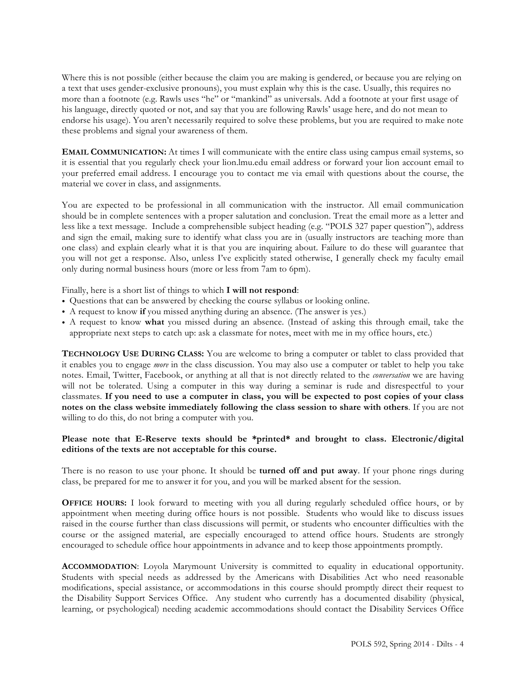Where this is not possible (either because the claim you are making is gendered, or because you are relying on a text that uses gender-exclusive pronouns), you must explain why this is the case. Usually, this requires no more than a footnote (e.g. Rawls uses "he" or "mankind" as universals. Add a footnote at your first usage of his language, directly quoted or not, and say that you are following Rawls' usage here, and do not mean to endorse his usage). You aren't necessarily required to solve these problems, but you are required to make note these problems and signal your awareness of them.

**EMAIL COMMUNICATION:** At times I will communicate with the entire class using campus email systems, so it is essential that you regularly check your lion.lmu.edu email address or forward your lion account email to your preferred email address. I encourage you to contact me via email with questions about the course, the material we cover in class, and assignments.

You are expected to be professional in all communication with the instructor. All email communication should be in complete sentences with a proper salutation and conclusion. Treat the email more as a letter and less like a text message. Include a comprehensible subject heading (e.g. "POLS 327 paper question"), address and sign the email, making sure to identify what class you are in (usually instructors are teaching more than one class) and explain clearly what it is that you are inquiring about. Failure to do these will guarantee that you will not get a response. Also, unless I've explicitly stated otherwise, I generally check my faculty email only during normal business hours (more or less from 7am to 6pm).

Finally, here is a short list of things to which **I will not respond**:

- Questions that can be answered by checking the course syllabus or looking online.
- A request to know **if** you missed anything during an absence. (The answer is yes.)
- A request to know **what** you missed during an absence. (Instead of asking this through email, take the appropriate next steps to catch up: ask a classmate for notes, meet with me in my office hours, etc.)

**TECHNOLOGY USE DURING CLASS:** You are welcome to bring a computer or tablet to class provided that it enables you to engage *more* in the class discussion. You may also use a computer or tablet to help you take notes. Email, Twitter, Facebook, or anything at all that is not directly related to the *conversation* we are having will not be tolerated. Using a computer in this way during a seminar is rude and disrespectful to your classmates. **If you need to use a computer in class, you will be expected to post copies of your class notes on the class website immediately following the class session to share with others**. If you are not willing to do this, do not bring a computer with you.

## **Please note that E-Reserve texts should be \*printed\* and brought to class. Electronic/digital editions of the texts are not acceptable for this course.**

There is no reason to use your phone. It should be **turned off and put away**. If your phone rings during class, be prepared for me to answer it for you, and you will be marked absent for the session.

**OFFICE HOURS:** I look forward to meeting with you all during regularly scheduled office hours, or by appointment when meeting during office hours is not possible. Students who would like to discuss issues raised in the course further than class discussions will permit, or students who encounter difficulties with the course or the assigned material, are especially encouraged to attend office hours. Students are strongly encouraged to schedule office hour appointments in advance and to keep those appointments promptly.

**ACCOMMODATION**: Loyola Marymount University is committed to equality in educational opportunity. Students with special needs as addressed by the Americans with Disabilities Act who need reasonable modifications, special assistance, or accommodations in this course should promptly direct their request to the Disability Support Services Office. Any student who currently has a documented disability (physical, learning, or psychological) needing academic accommodations should contact the Disability Services Office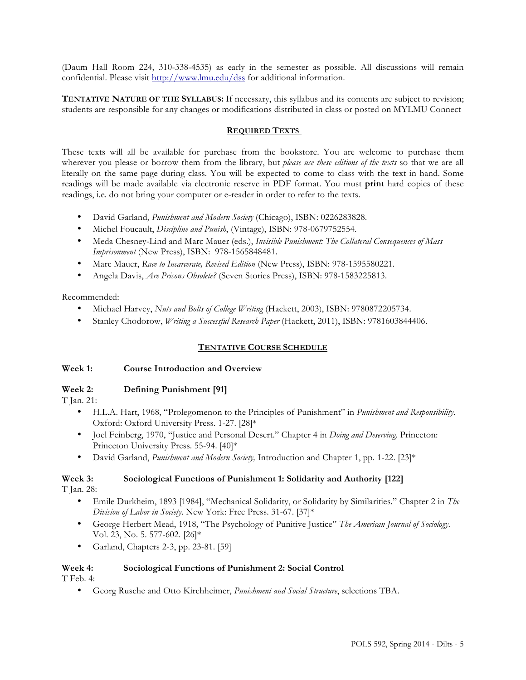(Daum Hall Room 224, 310-338-4535) as early in the semester as possible. All discussions will remain confidential. Please visit http://www.lmu.edu/dss for additional information.

**TENTATIVE NATURE OF THE SYLLABUS:** If necessary, this syllabus and its contents are subject to revision; students are responsible for any changes or modifications distributed in class or posted on MYLMU Connect

## **REQUIRED TEXTS**

These texts will all be available for purchase from the bookstore. You are welcome to purchase them wherever you please or borrow them from the library, but *please use these editions of the texts* so that we are all literally on the same page during class. You will be expected to come to class with the text in hand. Some readings will be made available via electronic reserve in PDF format. You must **print** hard copies of these readings, i.e. do not bring your computer or e-reader in order to refer to the texts.

- David Garland, *Punishment and Modern Society* (Chicago), ISBN: 0226283828.
- Michel Foucault, *Discipline and Punish*, (Vintage), ISBN: 978-0679752554.
- Meda Chesney-Lind and Marc Mauer (eds.), *Invisible Punishment: The Collateral Consequences of Mass Imprisonment* (New Press), ISBN: 978-1565848481.
- Marc Mauer, *Race to Incarcerate, Revised Edition* (New Press), ISBN: 978-1595580221.
- Angela Davis, *Are Prisons Obsolete?* (Seven Stories Press), ISBN: 978-1583225813.

Recommended:

- Michael Harvey, *Nuts and Bolts of College Writing* (Hackett, 2003), ISBN: 9780872205734.
- Stanley Chodorow, *Writing a Successful Research Paper* (Hackett, 2011), ISBN: 9781603844406.

## **TENTATIVE COURSE SCHEDULE**

## **Week 1: Course Introduction and Overview**

## **Week 2: Defining Punishment [91]**

T Jan. 21:

- H.L.A. Hart, 1968, "Prolegomenon to the Principles of Punishment" in *Punishment and Responsibility*. Oxford: Oxford University Press. 1-27. [28]\*
- Joel Feinberg, 1970, "Justice and Personal Desert." Chapter 4 in *Doing and Deserving*. Princeton: Princeton University Press. 55-94. [40]\*
- David Garland, *Punishment and Modern Society,* Introduction and Chapter 1, pp. 1-22. [23]\*

# **Week 3: Sociological Functions of Punishment 1: Solidarity and Authority [122]**

T Jan. 28:

- Emile Durkheim, 1893 [1984], "Mechanical Solidarity, or Solidarity by Similarities." Chapter 2 in *The Division of Labor in Society*. New York: Free Press. 31-67. [37]\*
- George Herbert Mead, 1918, "The Psychology of Punitive Justice" *The American Journal of Sociology*. Vol. 23, No. 5. 577-602. [26]\*
- Garland, Chapters 2-3, pp. 23-81. [59]

## **Week 4: Sociological Functions of Punishment 2: Social Control**

T Feb. 4:

• Georg Rusche and Otto Kirchheimer, *Punishment and Social Structure*, selections TBA.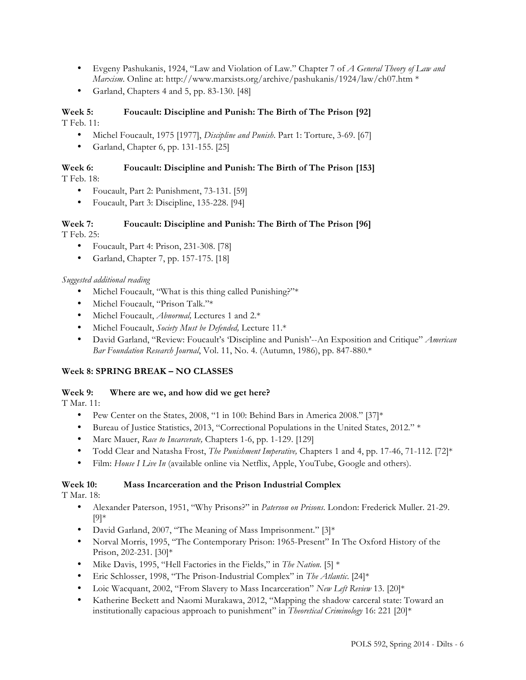- Evgeny Pashukanis, 1924, "Law and Violation of Law." Chapter 7 of *A General Theory of Law and Marxism*. Online at: http://www.marxists.org/archive/pashukanis/1924/law/ch07.htm \*
- Garland, Chapters 4 and 5, pp. 83-130. [48]

#### **Week 5: Foucault: Discipline and Punish: The Birth of The Prison [92]** T Feb. 11:

• Michel Foucault, 1975 [1977], *Discipline and Punish*. Part 1: Torture, 3-69. [67]

• Garland, Chapter 6, pp. 131-155. [25]

## **Week 6: Foucault: Discipline and Punish: The Birth of The Prison [153]**

T Feb. 18:

- Foucault, Part 2: Punishment, 73-131. [59]
- Foucault, Part 3: Discipline, 135-228. [94]

## **Week 7: Foucault: Discipline and Punish: The Birth of The Prison [96]**

T Feb. 25:

- Foucault, Part 4: Prison, 231-308. [78]
- Garland, Chapter 7, pp. 157-175. [18]

## *Suggested additional reading*

- Michel Foucault, "What is this thing called Punishing?"\*
- Michel Foucault, "Prison Talk."\*
- Michel Foucault, *Abnormal,* Lectures 1 and 2.\*
- Michel Foucault, *Society Must be Defended,* Lecture 11.\*
- David Garland, "Review: Foucault's 'Discipline and Punish'--An Exposition and Critique" *American Bar Foundation Research Journal*, Vol. 11, No. 4. (Autumn, 1986), pp. 847-880.\*

## **Week 8: SPRING BREAK – NO CLASSES**

## **Week 9: Where are we, and how did we get here?**

T Mar. 11:

- Pew Center on the States, 2008, "1 in 100: Behind Bars in America 2008." [37]\*
- Bureau of Justice Statistics, 2013, "Correctional Populations in the United States, 2012." \*
- Marc Mauer, *Race to Incarcerate,* Chapters 1-6, pp. 1-129. [129]
- Todd Clear and Natasha Frost, *The Punishment Imperative,* Chapters 1 and 4, pp. 17-46, 71-112. [72]\*
- Film: *House I Live In* (available online via Netflix, Apple, YouTube, Google and others).

## **Week 10: Mass Incarceration and the Prison Industrial Complex**

T Mar. 18:

- Alexander Paterson, 1951, "Why Prisons?" in *Paterson on Prisons*. London: Frederick Muller. 21-29. [9]\*
- David Garland, 2007, "The Meaning of Mass Imprisonment." [3]\*
- Norval Morris, 1995, "The Contemporary Prison: 1965-Present" In The Oxford History of the Prison, 202-231. [30]\*
- Mike Davis, 1995, "Hell Factories in the Fields," in *The Nation.* [5] \*
- Eric Schlosser, 1998, "The Prison-Industrial Complex" in *The Atlantic*. [24]\*
- Loic Wacquant, 2002, "From Slavery to Mass Incarceration" *New Left Review* 13. [20]\*
- Katherine Beckett and Naomi Murakawa, 2012, "Mapping the shadow carceral state: Toward an institutionally capacious approach to punishment" in *Theoretical Criminology* 16: 221 [20]\*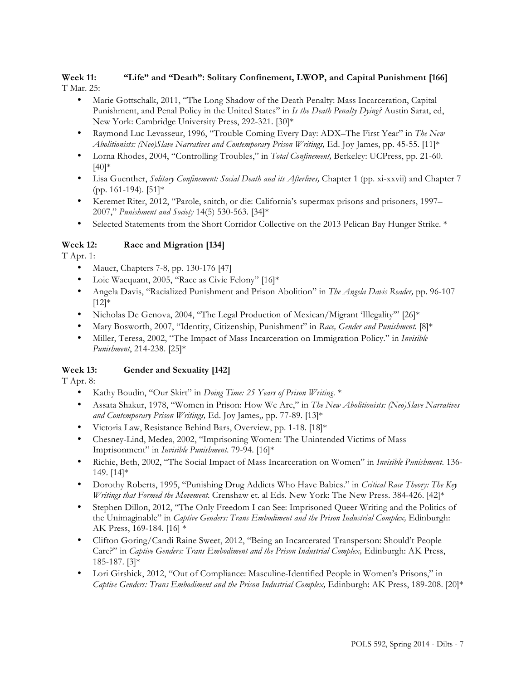## **Week 11: "Life" and "Death": Solitary Confinement, LWOP, and Capital Punishment [166]** T Mar. 25:

• Marie Gottschalk, 2011, "The Long Shadow of the Death Penalty: Mass Incarceration, Capital Punishment, and Penal Policy in the United States" in *Is the Death Penalty Dying?* Austin Sarat, ed, New York: Cambridge University Press, 292-321. [30]\*

- Raymond Luc Levasseur, 1996, "Trouble Coming Every Day: ADX–The First Year" in *The New Abolitionists: (Neo)Slave Narratives and Contemporary Prison Writings,* Ed. Joy James, pp. 45-55. [11]\*
- Lorna Rhodes, 2004, "Controlling Troubles," in *Total Confinement,* Berkeley: UCPress, pp. 21-60.  $[40]$ \*
- Lisa Guenther, *Solitary Confinement: Social Death and its Afterlives*, Chapter 1 (pp. xi-xxvii) and Chapter 7 (pp. 161-194). [51]\*
- Keremet Riter, 2012, "Parole, snitch, or die: California's supermax prisons and prisoners, 1997– 2007," *Punishment and Society* 14(5) 530-563. [34]\*
- Selected Statements from the Short Corridor Collective on the 2013 Pelican Bay Hunger Strike. \*

## **Week 12: Race and Migration [134]**

T Apr. 1:

- Mauer, Chapters 7-8, pp. 130-176 [47]
- Loic Wacquant, 2005, "Race as Civic Felony" [16]\*
- Angela Davis, "Racialized Punishment and Prison Abolition" in *The Angela Davis Reader,* pp. 96-107  $[12]*$
- Nicholas De Genova, 2004, "The Legal Production of Mexican/Migrant 'Illegality'" [26]\*
- Mary Bosworth, 2007, "Identity, Citizenship, Punishment" in *Race, Gender and Punishment.* [8]\*
- Miller, Teresa, 2002, "The Impact of Mass Incarceration on Immigration Policy." in *Invisible Punishment*, 214-238. [25]\*

## **Week 13: Gender and Sexuality [142]**

T Apr. 8:

- Kathy Boudin, "Our Skirt" in *Doing Time: 25 Years of Prison Writing.* \*
- Assata Shakur, 1978, "Women in Prison: How We Are," in *The New Abolitionists: (Neo)Slave Narratives and Contemporary Prison Writings,* Ed. Joy James,*,* pp. 77-89. [13]\*
- Victoria Law, Resistance Behind Bars, Overview, pp. 1-18. [18]\*
- Chesney-Lind, Medea, 2002, "Imprisoning Women: The Unintended Victims of Mass Imprisonment" in *Invisible Punishment*. 79-94. [16]\*
- Richie, Beth, 2002, "The Social Impact of Mass Incarceration on Women" in *Invisible Punishment*. 136- 149. [14]\*
- Dorothy Roberts, 1995, "Punishing Drug Addicts Who Have Babies." in *Critical Race Theory: The Key Writings that Formed the Movement*. Crenshaw et. al Eds. New York: The New Press. 384-426. [42]\*
- Stephen Dillon, 2012, "The Only Freedom I can See: Imprisoned Queer Writing and the Politics of the Unimaginable" in *Captive Genders: Trans Embodiment and the Prison Industrial Complex, Edinburgh:* AK Press, 169-184. [16] \*
- Clifton Goring/Candi Raine Sweet, 2012, "Being an Incarcerated Transperson: Should't People Care?" in *Captive Genders: Trans Embodiment and the Prison Industrial Complex, Edinburgh: AK Press,* 185-187. [3]\*
- Lori Girshick, 2012, "Out of Compliance: Masculine-Identified People in Women's Prisons," in *Captive Genders: Trans Embodiment and the Prison Industrial Complex,* Edinburgh: AK Press, 189-208. [20]\*